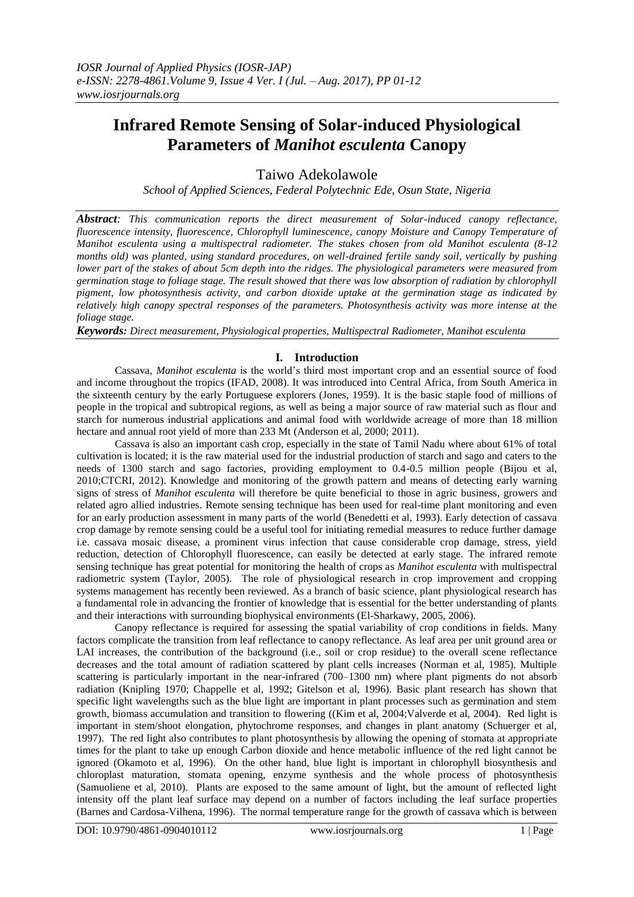# **Infrared Remote Sensing of Solar-induced Physiological Parameters of** *Manihot esculenta* **Canopy**

Taiwo Adekolawole

*School of Applied Sciences, Federal Polytechnic Ede, Osun State, Nigeria*

*Abstract: This communication reports the direct measurement of Solar-induced canopy reflectance, fluorescence intensity, fluorescence, Chlorophyll luminescence, canopy Moisture and Canopy Temperature of Manihot esculenta using a multispectral radiometer. The stakes chosen from old Manihot esculenta (8-12 months old) was planted, using standard procedures, on well-drained fertile sandy soil, vertically by pushing lower part of the stakes of about 5cm depth into the ridges. The physiological parameters were measured from germination stage to foliage stage. The result showed that there was low absorption of radiation by chlorophyll pigment, low photosynthesis activity, and carbon dioxide uptake at the germination stage as indicated by relatively high canopy spectral responses of the parameters. Photosynthesis activity was more intense at the foliage stage.* 

*Keywords: Direct measurement, Physiological properties, Multispectral Radiometer, Manihot esculenta* 

## **I. Introduction**

Cassava, *Manihot esculenta* is the world"s third most important crop and an essential source of food and income throughout the tropics (IFAD, 2008). It was introduced into Central Africa, from South America in the sixteenth century by the early Portuguese explorers (Jones, 1959). It is the basic staple food of millions of people in the tropical and subtropical regions, as well as being a major source of raw material such as flour and starch for numerous industrial applications and animal food with worldwide acreage of more than 18 million hectare and annual root yield of more than 233 Mt (Anderson et al, 2000; 2011).

Cassava is also an important cash crop, especially in the state of Tamil Nadu where about 61% of total cultivation is located; it is the raw material used for the industrial production of starch and sago and caters to the needs of 1300 starch and sago factories, providing employment to 0.4-0.5 million people (Bijou et al, 2010;CTCRI, 2012). Knowledge and monitoring of the growth pattern and means of detecting early warning signs of stress of *Manihot esculenta* will therefore be quite beneficial to those in agric business, growers and related agro allied industries. Remote sensing technique has been used for real-time plant monitoring and even for an early production assessment in many parts of the world (Benedetti et al, 1993). Early detection of cassava crop damage by remote sensing could be a useful tool for initiating remedial measures to reduce further damage i.e. cassava mosaic disease, a prominent virus infection that cause considerable crop damage, stress, yield reduction, detection of Chlorophyll fluorescence, can easily be detected at early stage. The infrared remote sensing technique has great potential for monitoring the health of crops as *Manihot esculenta* with multispectral radiometric system (Taylor, 2005). The role of physiological research in crop improvement and cropping systems management has recently been reviewed. As a branch of basic science, plant physiological research has a fundamental role in advancing the frontier of knowledge that is essential for the better understanding of plants and their interactions with surrounding biophysical environments (El-Sharkawy, 2005, 2006).

Canopy reflectance is required for assessing the spatial variability of crop conditions in fields. Many factors complicate the transition from leaf reflectance to canopy reflectance. As leaf area per unit ground area or LAI increases, the contribution of the background (i.e., soil or crop residue) to the overall scene reflectance decreases and the total amount of radiation scattered by plant cells increases (Norman et al, 1985). Multiple scattering is particularly important in the near-infrared (700–1300 nm) where plant pigments do not absorb radiation (Knipling 1970; Chappelle et al, 1992; Gitelson et al, 1996). Basic plant research has shown that specific light wavelengths such as the blue light are important in plant processes such as germination and stem growth, biomass accumulation and transition to flowering ((Kim et al, 2004;Valverde et al, 2004). Red light is important in stem/shoot elongation, phytochrome responses, and changes in plant anatomy (Schuerger et al, 1997). The red light also contributes to plant photosynthesis by allowing the opening of stomata at appropriate times for the plant to take up enough Carbon dioxide and hence metabolic influence of the red light cannot be ignored (Okamoto et al, 1996). On the other hand, blue light is important in chlorophyll biosynthesis and chloroplast maturation, stomata opening, enzyme synthesis and the whole process of photosynthesis (Samuoliene et al, 2010). Plants are exposed to the same amount of light, but the amount of reflected light intensity off the plant leaf surface may depend on a number of factors including the leaf surface properties (Barnes and Cardosa-Vilhena, 1996). The normal temperature range for the growth of cassava which is between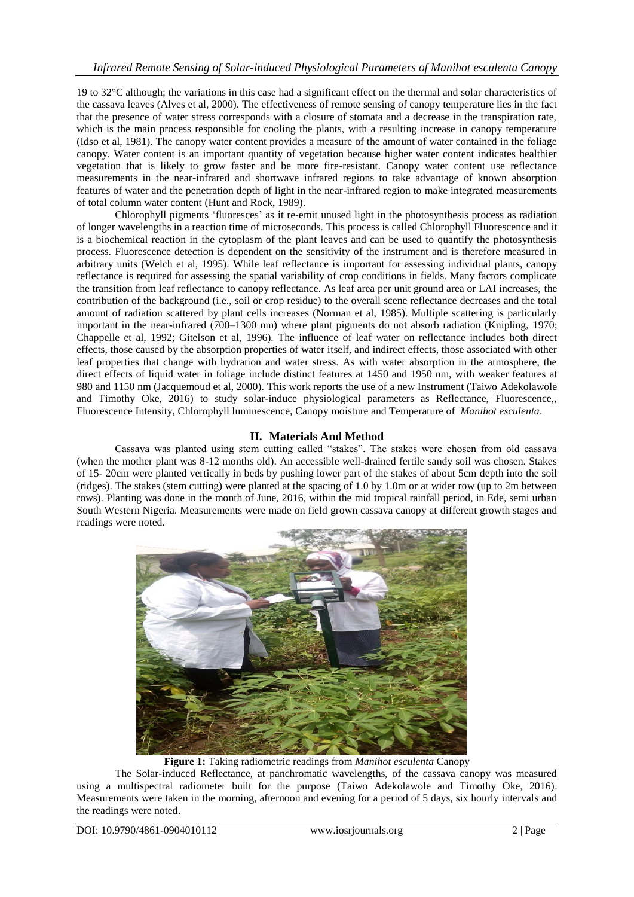19 to 32°C although; the variations in this case had a significant effect on the thermal and solar characteristics of the cassava leaves (Alves et al, 2000). The effectiveness of remote sensing of canopy temperature lies in the fact that the presence of water stress corresponds with a closure of stomata and a decrease in the transpiration rate, which is the main process responsible for cooling the plants, with a resulting increase in canopy temperature (Idso et al, 1981). The canopy water content provides a measure of the amount of water contained in the foliage canopy. [Water content](https://www.harrisgeospatial.com/docs/plantfoliage.html#water) is an important quantity of vegetation because higher water content indicates healthier vegetation that is likely to grow faster and be more fire-resistant. Canopy water content use reflectance measurements in the near-infrared and shortwave infrared regions to take advantage of known absorption features of water and the penetration depth of light in the near-infrared region to make integrated measurements of total column water content (Hunt and Rock, 1989).

Chlorophyll pigments "fluoresces" as it re-emit unused light in the photosynthesis process as radiation of longer wavelengths in a reaction time of microseconds. This process is called Chlorophyll Fluorescence and it is a biochemical reaction in the cytoplasm of the plant leaves and can be used to quantify the photosynthesis process. Fluorescence detection is dependent on the sensitivity of the instrument and is therefore measured in arbitrary units (Welch et al, 1995). While leaf reflectance is important for assessing individual plants, canopy reflectance is required for assessing the spatial variability of crop conditions in fields. Many factors complicate the transition from leaf reflectance to canopy reflectance. As leaf area per unit ground area or LAI increases, the contribution of the background (i.e., soil or crop residue) to the overall scene reflectance decreases and the total amount of radiation scattered by plant cells increases (Norman et al, 1985). Multiple scattering is particularly important in the near-infrared (700–1300 nm) where plant pigments do not absorb radiation (Knipling, 1970; Chappelle et al, 1992; Gitelson et al, 1996). The influence of leaf water on reflectance includes both direct effects, those caused by the absorption properties of water itself, and indirect effects, those associated with other leaf properties that change with hydration and water stress. As with water absorption in the atmosphere, the direct effects of liquid water in foliage include distinct features at 1450 and 1950 nm, with weaker features at 980 and 1150 nm (Jacquemoud et al, 2000). This work reports the use of a new Instrument (Taiwo Adekolawole and Timothy Oke, 2016) to study solar-induce physiological parameters as Reflectance, Fluorescence,, Fluorescence Intensity, Chlorophyll luminescence, Canopy moisture and Temperature of *Manihot esculenta*.

## **II. Materials And Method**

Cassava was planted using stem cutting called "stakes". The stakes were chosen from old cassava (when the mother plant was 8-12 months old). An accessible well-drained fertile sandy soil was chosen. Stakes of 15- 20cm were planted vertically in beds by pushing lower part of the stakes of about 5cm depth into the soil (ridges). The stakes (stem cutting) were planted at the spacing of 1.0 by 1.0m or at wider row (up to 2m between rows). Planting was done in the month of June, 2016, within the mid tropical rainfall period, in Ede, semi urban South Western Nigeria. Measurements were made on field grown cassava canopy at different growth stages and readings were noted.



**Figure 1:** Taking radiometric readings from *Manihot esculenta* Canopy

The Solar-induced Reflectance, at panchromatic wavelengths, of the cassava canopy was measured using a multispectral radiometer built for the purpose (Taiwo Adekolawole and Timothy Oke, 2016). Measurements were taken in the morning, afternoon and evening for a period of 5 days, six hourly intervals and the readings were noted.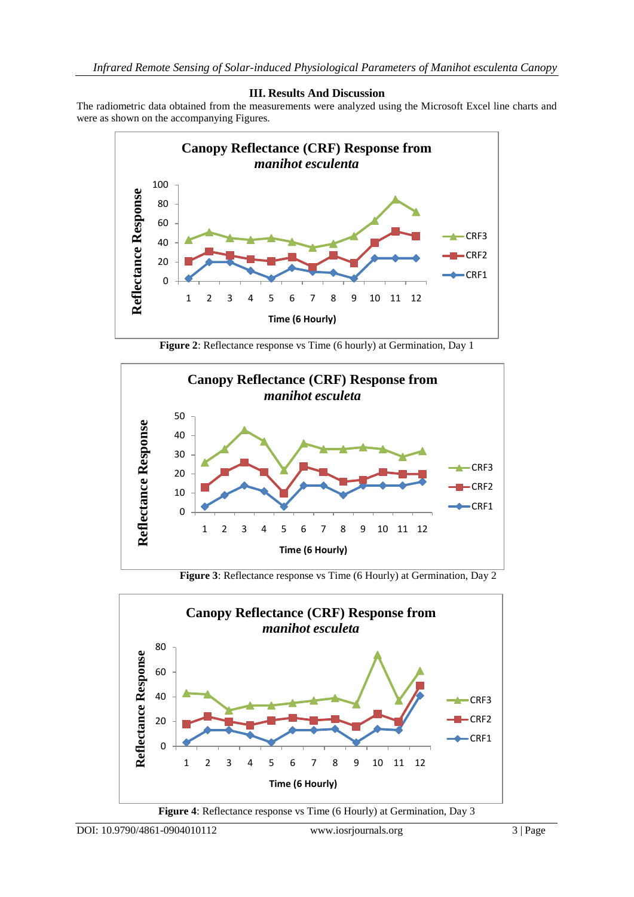## **III. Results And Discussion**

The radiometric data obtained from the measurements were analyzed using the Microsoft Excel line charts and were as shown on the accompanying Figures.



**Figure 2**: Reflectance response vs Time (6 hourly) at Germination, Day 1



Figure 3: Reflectance response vs Time (6 Hourly) at Germination, Day 2



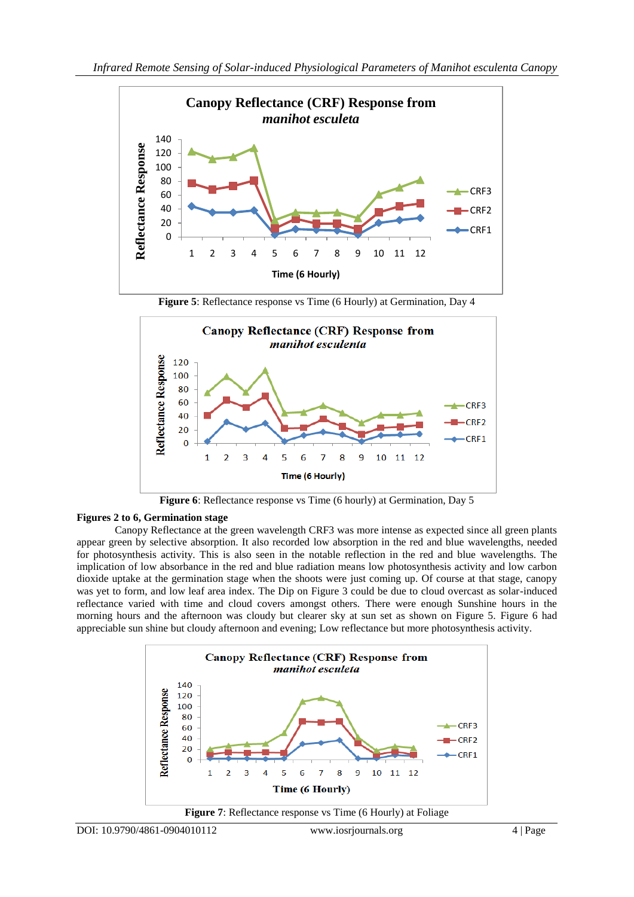

**Figure 5**: Reflectance response vs Time (6 Hourly) at Germination, Day 4



Figure 6: Reflectance response vs Time (6 hourly) at Germination, Day 5

## **Figures 2 to 6, Germination stage**

Canopy Reflectance at the green wavelength CRF3 was more intense as expected since all green plants appear green by selective absorption. It also recorded low absorption in the red and blue wavelengths, needed for photosynthesis activity. This is also seen in the notable reflection in the red and blue wavelengths. The implication of low absorbance in the red and blue radiation means low photosynthesis activity and low carbon dioxide uptake at the germination stage when the shoots were just coming up. Of course at that stage, canopy was yet to form, and low leaf area index. The Dip on Figure 3 could be due to cloud overcast as solar-induced reflectance varied with time and cloud covers amongst others. There were enough Sunshine hours in the morning hours and the afternoon was cloudy but clearer sky at sun set as shown on Figure 5. Figure 6 had appreciable sun shine but cloudy afternoon and evening; Low reflectance but more photosynthesis activity.



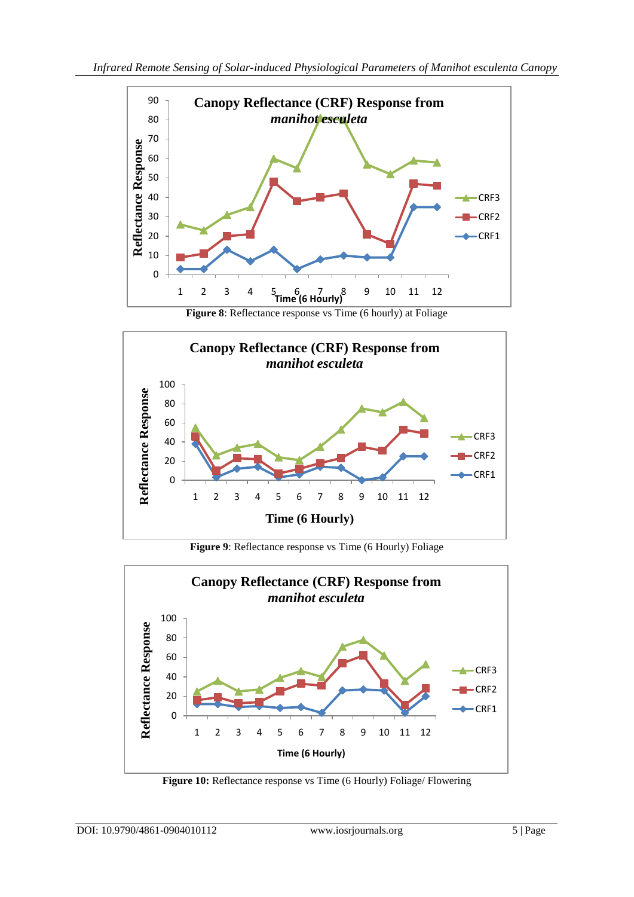

**Figure 8**: Reflectance response vs Time (6 hourly) at Foliage



**Figure 9**: Reflectance response vs Time (6 Hourly) Foliage



**Figure 10:** Reflectance response vs Time (6 Hourly) Foliage/ Flowering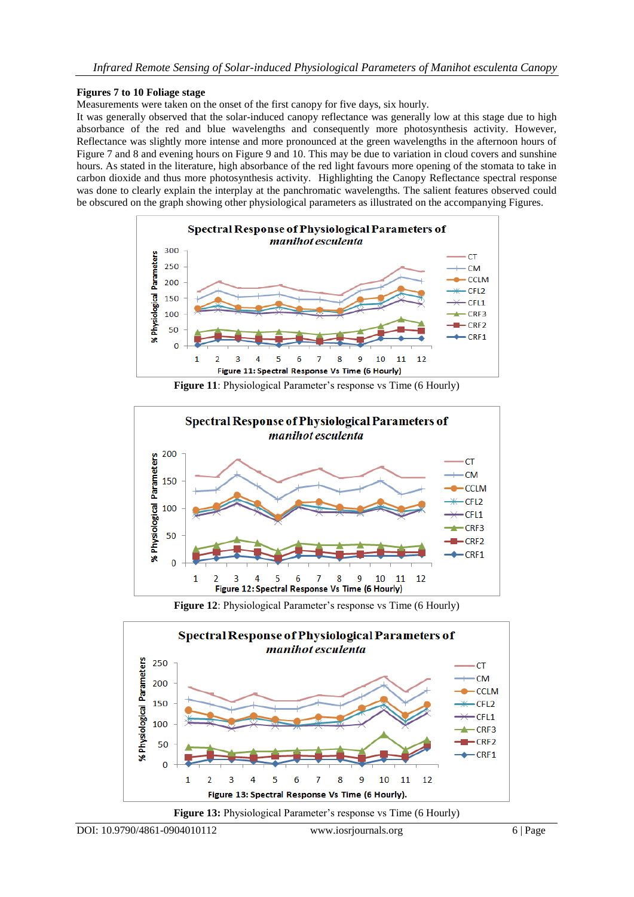### **Figures 7 to 10 Foliage stage**

Measurements were taken on the onset of the first canopy for five days, six hourly.

It was generally observed that the solar-induced canopy reflectance was generally low at this stage due to high absorbance of the red and blue wavelengths and consequently more photosynthesis activity. However, Reflectance was slightly more intense and more pronounced at the green wavelengths in the afternoon hours of Figure 7 and 8 and evening hours on Figure 9 and 10. This may be due to variation in cloud covers and sunshine hours. As stated in the literature, high absorbance of the red light favours more opening of the stomata to take in carbon dioxide and thus more photosynthesis activity. Highlighting the Canopy Reflectance spectral response was done to clearly explain the interplay at the panchromatic wavelengths. The salient features observed could be obscured on the graph showing other physiological parameters as illustrated on the accompanying Figures.



**Figure 11**: Physiological Parameter's response vs Time (6 Hourly)



**Figure 12**: Physiological Parameter's response vs Time (6 Hourly)



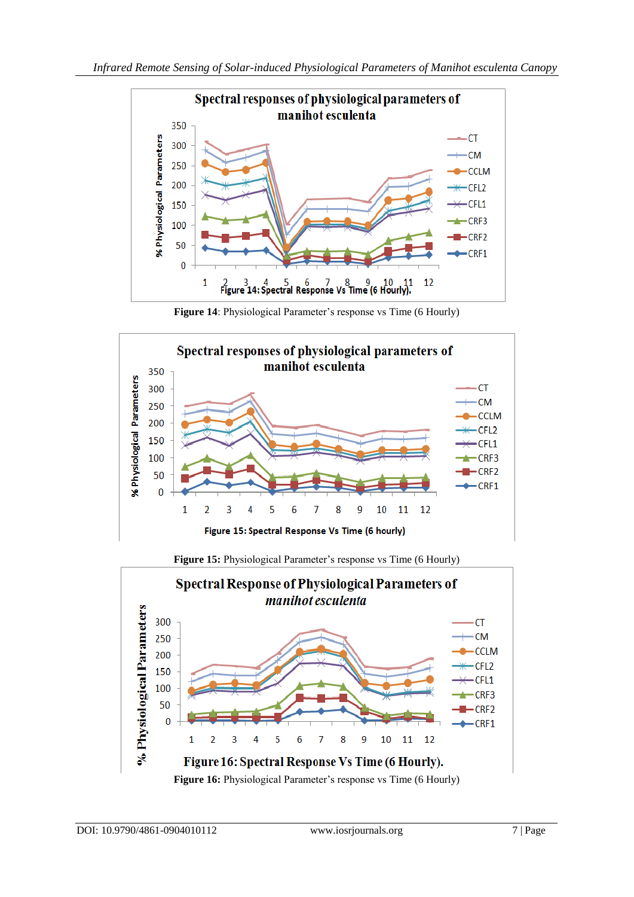

Figure 14: Physiological Parameter's response vs Time (6 Hourly)



Figure 15: Physiological Parameter's response vs Time (6 Hourly)

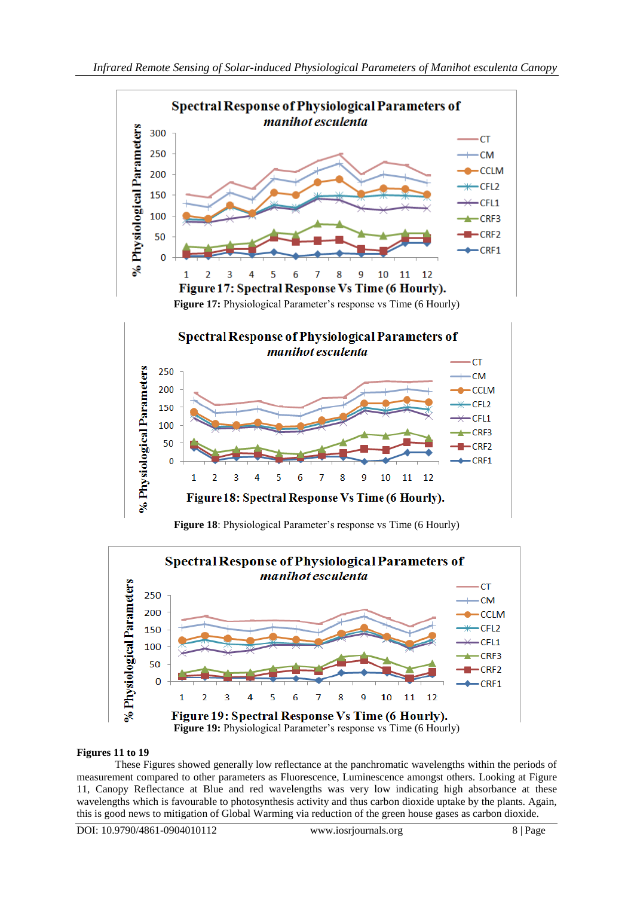

**Figure 18**: Physiological Parameter's response vs Time (6 Hourly)



## **Figures 11 to 19**

These Figures showed generally low reflectance at the panchromatic wavelengths within the periods of measurement compared to other parameters as Fluorescence, Luminescence amongst others. Looking at Figure 11, Canopy Reflectance at Blue and red wavelengths was very low indicating high absorbance at these wavelengths which is favourable to photosynthesis activity and thus carbon dioxide uptake by the plants. Again, this is good news to mitigation of Global Warming via reduction of the green house gases as carbon dioxide.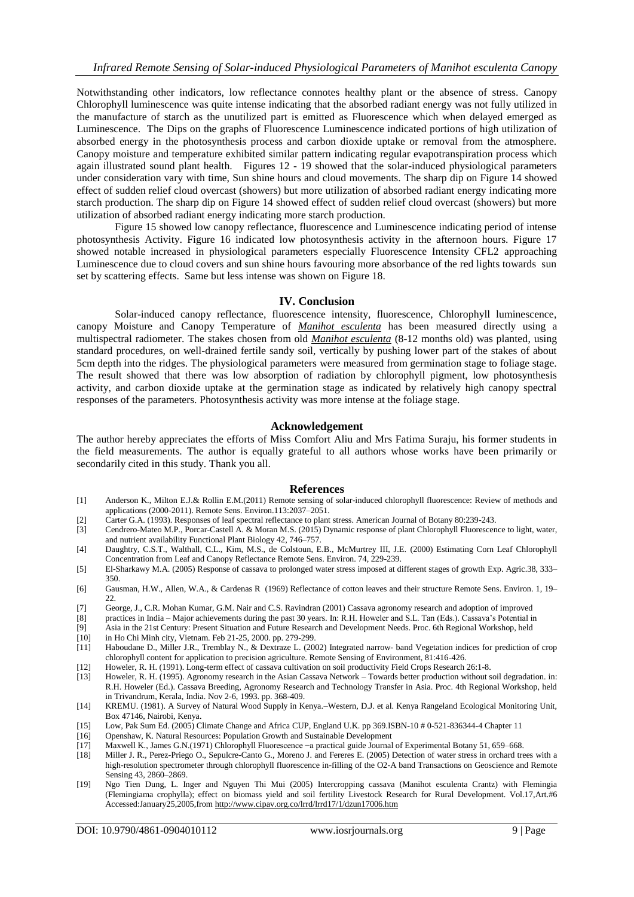Notwithstanding other indicators, low reflectance connotes healthy plant or the absence of stress. Canopy Chlorophyll luminescence was quite intense indicating that the absorbed radiant energy was not fully utilized in the manufacture of starch as the unutilized part is emitted as Fluorescence which when delayed emerged as Luminescence. The Dips on the graphs of Fluorescence Luminescence indicated portions of high utilization of absorbed energy in the photosynthesis process and carbon dioxide uptake or removal from the atmosphere. Canopy moisture and temperature exhibited similar pattern indicating regular evapotranspiration process which again illustrated sound plant health. Figures 12 - 19 showed that the solar-induced physiological parameters under consideration vary with time, Sun shine hours and cloud movements. The sharp dip on Figure 14 showed effect of sudden relief cloud overcast (showers) but more utilization of absorbed radiant energy indicating more starch production. The sharp dip on Figure 14 showed effect of sudden relief cloud overcast (showers) but more utilization of absorbed radiant energy indicating more starch production.

Figure 15 showed low canopy reflectance, fluorescence and Luminescence indicating period of intense photosynthesis Activity. Figure 16 indicated low photosynthesis activity in the afternoon hours. Figure 17 showed notable increased in physiological parameters especially Fluorescence Intensity CFL2 approaching Luminescence due to cloud covers and sun shine hours favouring more absorbance of the red lights towards sun set by scattering effects. Same but less intense was shown on Figure 18.

#### **IV. Conclusion**

Solar-induced canopy reflectance, fluorescence intensity, fluorescence, Chlorophyll luminescence, canopy Moisture and Canopy Temperature of *Manihot esculenta* has been measured directly using a multispectral radiometer. The stakes chosen from old *Manihot esculenta* (8-12 months old) was planted, using standard procedures, on well-drained fertile sandy soil, vertically by pushing lower part of the stakes of about 5cm depth into the ridges. The physiological parameters were measured from germination stage to foliage stage. The result showed that there was low absorption of radiation by chlorophyll pigment, low photosynthesis activity, and carbon dioxide uptake at the germination stage as indicated by relatively high canopy spectral responses of the parameters. Photosynthesis activity was more intense at the foliage stage.

#### **Acknowledgement**

The author hereby appreciates the efforts of Miss Comfort Aliu and Mrs Fatima Suraju, his former students in the field measurements. The author is equally grateful to all authors whose works have been primarily or secondarily cited in this study. Thank you all.

#### **References**

- [1] Anderson K., Milton E.J.& Rollin E.M.(2011) Remote sensing of solar-induced chlorophyll fluorescence: Review of methods and applications (2000-2011). Remote Sens. Environ.113:2037–2051.
- [2] Carter G.A. (1993). Responses of leaf spectral reflectance to plant stress. American Journal of Botany 80:239-243.<br>[3] Cendrero-Mateo M.P., Porcar-Castell A. & Moran M.S. (2015) Dynamic response of plant Chlorophyll Fl
- [3] Cendrero-Mateo M.P., Porcar-Castell A. & Moran M.S. (2015) Dynamic response of plant Chlorophyll Fluorescence to light, water, and nutrient availability Functional Plant Biology 42, 746–757.
- [4] Daughtry, C.S.T., Walthall, C.L., Kim, M.S., de Colstoun, E.B., McMurtrey III, J.E. (2000) Estimating Corn Leaf Chlorophyll Concentration from Leaf and Canopy Reflectance Remote Sens. Environ. 74, 229-239.
- [5] El-Sharkawy M.A. (2005) Response of cassava to prolonged water stress imposed at different stages of growth Exp. Agric.38, 333– 350.
- [6] Gausman, H.W., Allen, W.A., & Cardenas R (1969) Reflectance of cotton leaves and their structure Remote Sens. Environ. 1, 19– 22.
- [7] George, J., C.R. Mohan Kumar, G.M. Nair and C.S. Ravindran (2001) Cassava agronomy research and adoption of improved
- [8] practices in India Major achievements during the past 30 years. In: R.H. Howeler and S.L. Tan (Eds.). Cassava"s Potential in
- [9] Asia in the 21st Century: Present Situation and Future Research and Development Needs. Proc. 6th Regional Workshop, held [10] in Ho Chi Minh city, Vietnam. Feb 21-25, 2000. pp. 279-299.
- 
- [11] Haboudane D., Miller J.R., Tremblay N., & Dextraze L. (2002) Integrated narrow- band Vegetation indices for prediction of crop chlorophyll content for application to precision agriculture. Remote Sensing of Environment, 81:416-426.
- [12] Howeler, R. H. (1991). Long-term effect of cassava cultivation on soil productivity Field Crops Research 26:1-8.
- [13] Howeler, R. H. (1995). Agronomy research in the Asian Cassava Network Towards better production without soil degradation. in: R.H. Howeler (Ed.). Cassava Breeding, Agronomy Research and Technology Transfer in Asia. Proc. 4th Regional Workshop, held in Trivandrum, Kerala, India. Nov 2-6, 1993. pp. 368-409.
- [14] KREMU. (1981). A Survey of Natural Wood Supply in Kenya.–Western, D.J. et al. Kenya Rangeland Ecological Monitoring Unit, Box 47146, Nairobi, Kenya.
- [15] Low, Pak Sum Ed. (2005) Climate Change and Africa CUP, England U.K. pp 369.ISBN-10 # 0-521-836344-4 Chapter 11
- [16] Openshaw, K. Natural Resources: Population Growth and Sustainable Development
- [17] Maxwell K., James G.N.(1971) Chlorophyll Fluorescence −a practical guide Journal of Experimental Botany 51, 659–668.
- [18] Miller J. R., Perez-Priego O., Sepulcre-Canto G., Moreno J. and Fereres E. (2005) Detection of water stress in orchard trees with a high-resolution spectrometer through chlorophyll fluorescence in-filling of the O2-A band Transactions on Geoscience and Remote Sensing 43, 2860-2869.
- [19] Ngo Tien Dung, L. Inger and Nguyen Thi Mui (2005) Intercropping cassava (Manihot esculenta Crantz) with Flemingia (Flemingiama crophylla); effect on biomass yield and soil fertility Livestock Research for Rural Development. Vol.17,Art.#6 Accessed:January25,2005,from http://www.cipav.org.co/lrrd/lrrd17/1/dzun17006.htm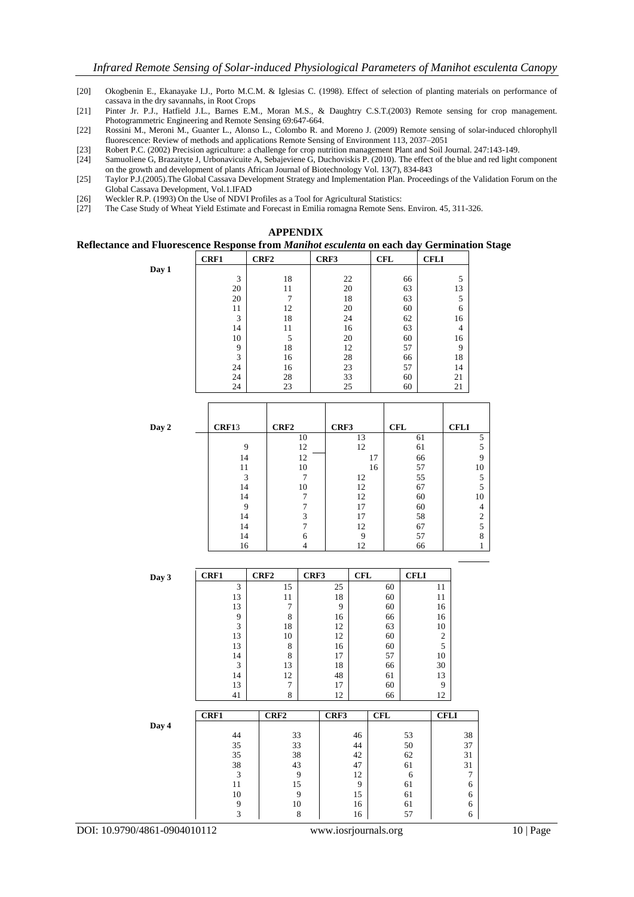- [20] Okogbenin E., Ekanayake I.J., Porto M.C.M. & Iglesias C. (1998). Effect of selection of planting materials on performance of cassava in the dry savannahs, in Root Crops
- [21] Pinter Jr. P.J., Hatfield J.L., Barnes E.M., Moran M.S., & Daughtry C.S.T.(2003) Remote sensing for crop management. Photogrammetric Engineering and Remote Sensing 69:647-664.
- [22] Rossini M., Meroni M., Guanter L., Alonso L., Colombo R. and Moreno J. (2009) Remote sensing of solar-induced chlorophyll fluorescence: Review of methods and applications Remote Sensing of Environment 113, 2037–2051
- [23] Robert P.C. (2002) Precision agriculture: a challenge for crop nutrition management Plant and Soil Journal. 247:143-149.
- [24] Samuoliene G, Brazaityte J, Urbonavicuite A, Sebajeviene G, Duchoviskis P. (2010). The effect of the blue and red light component
- on the growth and development of plants African Journal of Biotechnology Vol. 13(7), 834-843 [25] Taylor P.J.(2005).The Global Cassava Development Strategy and Implementation Plan. Proceedings of the Validation Forum on the Global Cassava Development, Vol.1.IFAD
- [26] Weckler R.P. (1993) On the Use of NDVI Profiles as a Tool for Agricultural Statistics:
- [27] The Case Study of Wheat Yield Estimate and Forecast in Emilia romagna Remote Sens. Environ. 45, 311-326.

#### **APPENDIX**

#### **Reflectance and Fluorescence Response from** *Manihot esculenta* **on each day Germination Stage**

|       | CRF1 | CRF <sub>2</sub> | CRF3 | <b>CFL</b> | <b>CFLI</b> |
|-------|------|------------------|------|------------|-------------|
| Day 1 |      |                  |      |            |             |
|       | 3    | 18               | 22   | 66         | 5           |
|       | 20   | 11               | 20   | 63         | 13          |
|       | 20   |                  | 18   | 63         | 5           |
|       | 11   | 12               | 20   | 60         | 6           |
|       | 3    | 18               | 24   | 62         | 16          |
|       | 14   | 11               | 16   | 63         | 4           |
|       | 10   | 5                | 20   | 60         | 16          |
|       | 9    | 18               | 12   | 57         | $\mathbf Q$ |
|       | 3    | 16               | 28   | 66         | 18          |
|       | 24   | 16               | 23   | 57         | 14          |
|       | 24   | 28               | 33   | 60         | 21          |
|       | 24   | 23               | 25   | 60         | 21          |

| Day 2 | <b>CRF13</b> | CRF <sub>2</sub> | CRF3 | <b>CFL</b> | <b>CFLI</b>    |
|-------|--------------|------------------|------|------------|----------------|
|       |              | 10               | 13   | 61         | 5              |
|       | $\mathbf Q$  | 12               | 12   | 61         | 5              |
|       | 14           | 12               | 17   | 66         | q              |
|       | 11           | 10               | 16   | 57         | 10             |
|       | 3            |                  | 12   | 55         | 5              |
|       | 14           | 10               | 12   | 67         | 5              |
|       | 14           |                  | 12   | 60         | 10             |
|       | $\mathbf Q$  |                  | 17   | 60         | 4              |
|       | 14           | 3                | 17   | 58         | $\overline{2}$ |
|       | 14           |                  | 12   | 67         | 5              |
|       | 14           | h                | Q    | 57         | 8              |
|       | 16           |                  | 12   | 66         |                |

| Day 3 | CRF1 | CRF <sub>2</sub> | CRF3 | <b>CFL</b> | <b>CFLI</b> |
|-------|------|------------------|------|------------|-------------|
|       | 3    | 15               | 25   | 60         | 11          |
|       | 13   | 11               | 18   | 60         | 11          |
|       | 13   | 7                | 9    | 60         | 16          |
|       | 9    | 8                | 16   | 66         | 16          |
|       | 3    | 18               | 12   | 63         | 10          |
|       | 13   | 10               | 12   | 60         | 2           |
|       | 13   | 8                | 16   | 60         | 5           |
|       | 14   | 8                | 17   | 57         | 10          |
|       | 3    | 13               | 18   | 66         | 30          |
|       | 14   | 12               | 48   | 61         | 13          |
|       | 13   | ⇁                | 17   | 60         | 9           |
|       | 41   | 8                | 12   | 66         | 12          |

**CRF1 CRF2 CRF3 CFL CFLI**

**Day 4**

44 33 46 53 38 33 44 50 37 38 42 62 31 43 47 61 31 9 12 6 7 11 15 9 61 6 10 9 15 61 6 9 10 16 61 6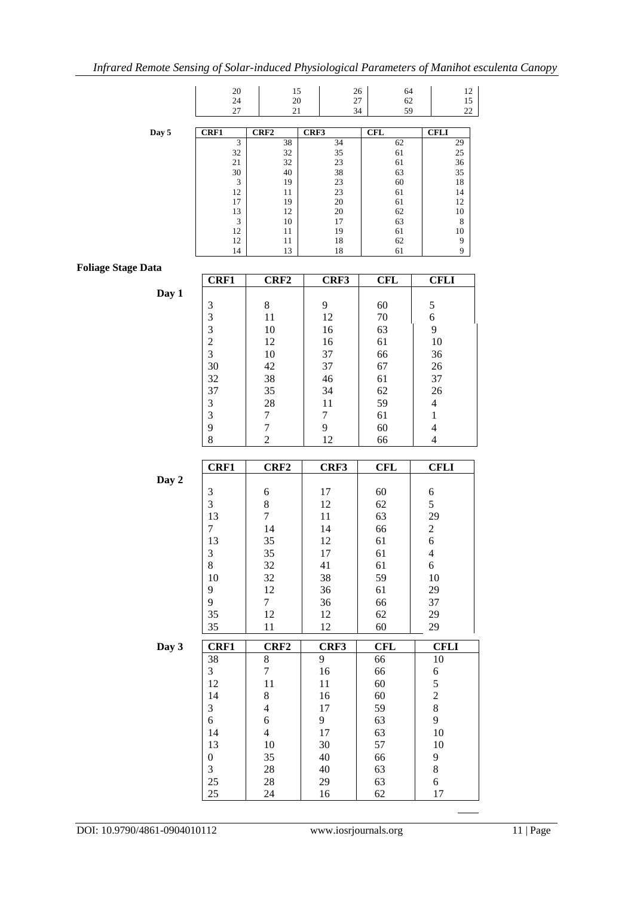*Infrared Remote Sensing of Solar-induced Physiological Parameters of Manihot esculenta Canopy* 

|                           | 20<br>24<br>27 | 15<br>20<br>21   | 26<br>27<br>34 | 64<br>62<br>59 | 12<br>15<br>22 |  |  |
|---------------------------|----------------|------------------|----------------|----------------|----------------|--|--|
| Day 5                     | CRF1           | CRF <sub>2</sub> | CRF3           | <b>CFL</b>     | <b>CFLI</b>    |  |  |
|                           | 3              | 38               | 34             | 62             | 29             |  |  |
|                           | 32             | 32               | 35             | 61             | 25             |  |  |
|                           | 21             | 32               | 23             | 61             | 36             |  |  |
|                           | 30             | 40               | 38             | 63             | 35             |  |  |
|                           | 3              | 19               | 23             | 60             | 18             |  |  |
|                           | 12             | 11               | 23             | 61             | 14             |  |  |
|                           | 17             | 19               | 20             | 61             | 12             |  |  |
|                           | 13             | 12               | 20             | 62             | 10             |  |  |
|                           | 3              | 10               | 17             | 63             | 8              |  |  |
|                           | 12             | 11               | 19             | 61             | 10             |  |  |
|                           | 12             | 11               | 18             | 62             | 9              |  |  |
|                           | 14             | 13               | 18             | 61             | 9              |  |  |
| <b>Foliage Stage Data</b> |                |                  |                |                |                |  |  |
|                           | <b>CRF1</b>    | CRF <sub>2</sub> | CRF3           | <b>CFL</b>     | <b>CFLI</b>    |  |  |
| Day 1                     |                |                  |                |                |                |  |  |
|                           | 3              | 8                | 9              | 60             | 5              |  |  |

| Day 3 | CRF1           | CRF <sub>2</sub>                      | CRF3             | <b>CFL</b> | <b>CFLI</b>             |
|-------|----------------|---------------------------------------|------------------|------------|-------------------------|
|       |                |                                       |                  |            |                         |
|       | 35             | 11                                    | 12               | 60         | 29                      |
|       | 35             | 12                                    | 12               | 62         | 29                      |
|       | 9              | $\overline{7}$                        | 36               | 66         | 37                      |
|       | 9              | 12                                    | 36               | 61         | 29                      |
|       | 10             | 32                                    | 38               | 59         | $10\,$                  |
|       | 8              | 32                                    | 41               | 61         | 6                       |
|       | 3              | 35                                    | 17               | 61         | $\overline{\mathbf{4}}$ |
|       | 13             | 35                                    | 12               | 61         | 6                       |
|       | 7              | 14                                    | 14               | 66         | $\overline{c}$          |
|       | 13             | $\begin{array}{c} 8 \\ 7 \end{array}$ | 12<br>11         | 62<br>63   | 5<br>29                 |
|       | 3<br>3         | 6                                     | 17               | 60         | 6                       |
| Day 2 |                |                                       |                  |            |                         |
|       | CRF1           | CRF <sub>2</sub>                      | CRF3             | <b>CFL</b> | <b>CFLI</b>             |
|       |                |                                       |                  |            |                         |
|       | 8              | $\overline{c}$                        | 12               | 66         | $\overline{4}$          |
|       | 9              | $\overline{7}$                        | 9                | 60         | $\overline{\mathbf{4}}$ |
|       | $\overline{3}$ | $\boldsymbol{7}$                      | $\boldsymbol{7}$ | 61         | $\mathbf{1}$            |
|       | $\mathfrak{Z}$ | 28                                    | 11               | 59         | $\overline{4}$          |
|       | 37             | 35                                    | 34               | 62         | $26\,$                  |
|       | 32             | 38                                    | 46               | 61         | 37                      |
|       | 30             | 42                                    | 37               | 67         | 26                      |
|       | $\overline{3}$ | 10                                    | 37               | 66         | 36                      |
|       | $\overline{c}$ | 12                                    | 16               | 61         | 10                      |
|       | 3              | 10                                    | 16               | 63         | 9                       |
|       | 3              | 11                                    | 12               | 70         | 6                       |

| Day 3 | <b>CRF1</b> | CRF <sub>2</sub> | CRF3 | <b>CFL</b> | <b>CFLI</b> |
|-------|-------------|------------------|------|------------|-------------|
|       | 38          | 8                | 9    | 66         | 10          |
|       | 3           |                  | 16   | 66         | 6           |
|       | 12          | 11               | 11   | 60         | 5           |
|       | 14          | 8                | 16   | 60         | 2           |
|       | 3           | 4                | 17   | 59         | 8           |
|       | 6           | 6                | 9    | 63         | 9           |
|       | 14          | 4                | 17   | 63         | 10          |
|       | 13          | 10               | 30   | 57         | 10          |
|       | 0           | 35               | 40   | 66         | 9           |
|       | 3           | 28               | 40   | 63         | 8           |
|       | 25          | 28               | 29   | 63         | 6           |
|       | 25          | 24               | 16   | 62         | 17          |